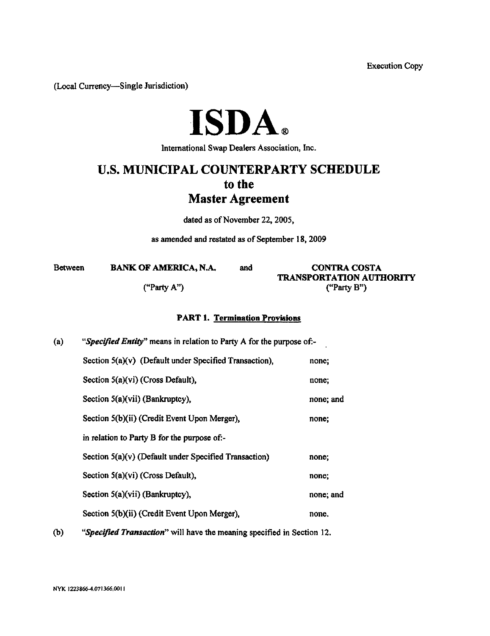Execution Copy

(Local Currency—Single Jurisdiction)

# **ISDA.**

International Swap Dealers Association, Inc.

# **U.S. MUNICIPAL COUNTERPARTY SCHEDULE to the Master Agreement**

dated as of November 22, 2005,

as amended and restated as of September 18,2009

| <b>Between</b> | <b>BANK OF AMERICA, N.A.</b> | and | <b>CONTRA COSTA</b>             |  |
|----------------|------------------------------|-----|---------------------------------|--|
|                |                              |     | <b>TRANSPORTATION AUTHORITY</b> |  |
|                | ("Party A")                  |     | ("Party $B$ ")                  |  |

## **PART 1. Termiaation Provisions**

| (a) | "Specified Entity" means in relation to Party A for the purpose of:- |           |  |  |
|-----|----------------------------------------------------------------------|-----------|--|--|
|     | Section $5(a)(v)$ (Default under Specified Transaction),             | none;     |  |  |
|     | Section $5(a)(vi)$ (Cross Default),                                  | none;     |  |  |
|     | Section $5(a)(vii)$ (Bankruptcy),                                    | none; and |  |  |
|     | Section 5(b)(ii) (Credit Event Upon Merger),                         | none;     |  |  |
|     | in relation to Party B for the purpose of:-                          |           |  |  |
|     | Section $5(a)(v)$ (Default under Specified Transaction)              | none;     |  |  |
|     | Section 5(a)(vi) (Cross Default),                                    | none;     |  |  |
|     | Section 5(a)(vii) (Bankruptcy),                                      | none; and |  |  |
|     | Section 5(b)(ii) (Credit Event Upon Merger),                         | none.     |  |  |
|     |                                                                      |           |  |  |

(b) *"Specified Transaction"* will have the meaning specified in Section 12.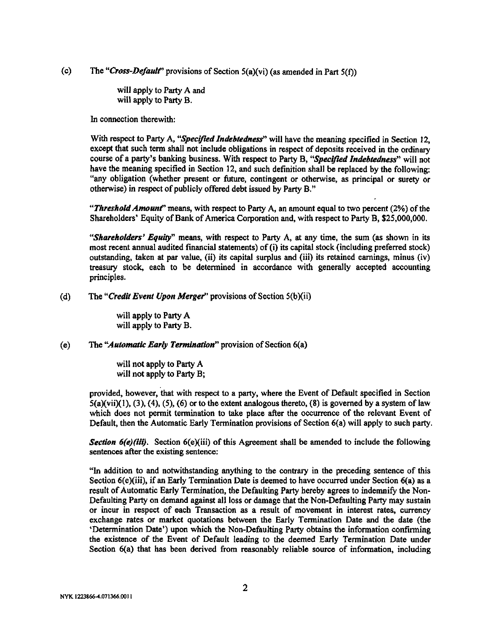(c) The "Cross-Default" provisions of Section 5(a)(vi) (as amended in Part 5(f))

will apply to Party A and will apply to Party B.

In connection therewith:

With respect to Party A, *"Specified Indebtedness"* will have the meaning specified in Section 12, except that such term shall not include obligations in respect of deposits received in the ordinary course of a party's banking business. With respect to Party B, *"Specified Indebtedness"* will not have the meaning specified in Section 12, and such definition shall be replaced by the following: "any obligation (whether present or future, contingent or otherwise, as principal or surety or otherwise) in respect of publicly offered debt issued by Party B."

"Threshold Amount" means, with respect to Party A, an amount equal to two percent (2%) of the Shareholders' Equity of Bank of America Corporation and, with respect to Party B, \$25,000,000.

*"Shareholders' Equity"* means, with respect to Party A, at any time, the sum (as shown in its most recent annual audited financial statements) of (i) its capital stock (including preferred stock) outstanding, taken at par value, (ii) its capital surplus and (iii) its retained earnings, minus (iv) treasury stock, each to be determined in accordance with generally accepted accounting principles.

(d) The *"Credit Event Upon Merger"* provisions of Section 5(b)(ii)

will apply to Party A will apply to Party B.

#### (e) The *"Automatic Early Termination"* provision of Section 6(a)

will not apply to Party A will not apply to Party B;

provided, however, that with respect to a party, where the Event of Default specified in Section  $5(a)(vi)(1)$ ,  $(3)$ ,  $(4)$ ,  $(5)$ ,  $(6)$  or to the extent analogous thereto,  $(8)$  is governed by a system of law which does not permit termination to take place after the occurrence of the relevant Event of Default, then the Automatic Early Termination provisions of Section 6(a) will apply to such party.

*Section 6(e)(iii).* Section 6(e)(iii) of this Agreement shall be amended to include the following sentences after the existing sentence:

"In addition to and notwithstanding anything to the contrary in the preceding sentence of this Section 6(e)(iii), if an Early Termination Date is deemed to have occurred under Section 6(a) as a result of Automatic Early Termination, the Defaulting Party hereby agrees to indemnify the Non-Defaulting Party on demand against all loss or damage that the Non-Defaulting Party may sustain or incur in respect of each Transaction as a result of movement in interest rates, currency exchange rates or market quotations between the Early Termination Date and the date (the 'Determination Date') upon which the Non-Defaulting Party obtains the information confirming the existence of the Event of Default leading to the deemed Early Termination Date under Section 6(a) that has been derived from reasonably reliable source of information, including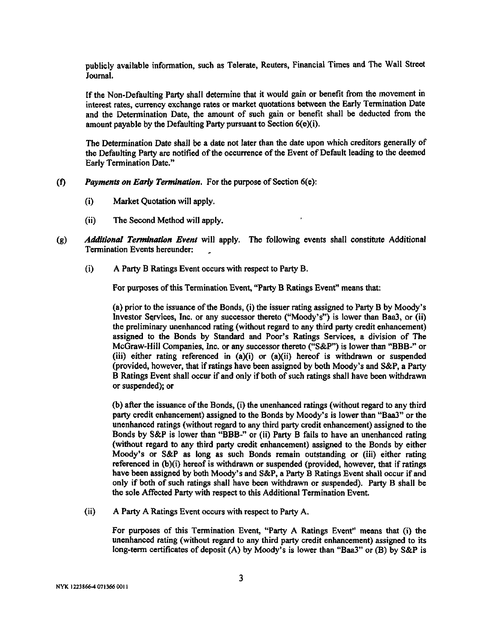publicly available information, such as Telerate, Reuters, Financial Times and The Wall Street Journal.

If the Non-Defaulting Party shall determine that it would gain or benefit from the movement in interest rates, currency exchange rates or market quotations between the Early Termination Date and the Determination Date, the amount of such gain or benefit shall be deducted from the amount payable by the Defaulting Party pursuant to Section 6(e)(i).

The Determination Date shall be a date not later than the date upon which creditors generally of the Defaulting Party are notified of the occurrence of the Event of Default leading to the deemed Early Termination Date."

#### (f) *Payments on Early Termination.* For the purpose of Section 6(e):

- (i) Market Quotation will apply.
- (ii) The Second Method will apply.
- (g) *Additional Termination Event* will apply. The following events shall constitute Additional Termination Events hereunder:
	- (i) A Party B Ratings Event occurs with respect to Party B.

For purposes of this Termination Event, "Party B Ratings Event" means that:

(a) prior to the issuance of the Bonds, (i) the issuer rating assigned to Party B by Moody's Investor Services, Inc. or any successor thereto ("Moody's") is lower than Baa3, or (ii) the preliminary unenhanced rating (without regard to any third party credit enhancement) assigned to the Bonds by Standard and Poor's Ratings Services, a division of The McGraw-Hill Companies, Inc. or any successor thereto ("S&P") is lower than "BBB-" or (iii) either rating referenced in  $(a)(i)$  or  $(a)(ii)$  hereof is withdrawn or suspended (provided, however, that if ratings have been assigned by both Moody's and S&P, a Party B Ratings Event shall occur if and only if both of such ratings shall have been withdrawn or suspended); or

(b) after the issuance of the Bonds, (i) the unenhanced ratings (without regard to any third party credit enhancement) assigned to the Bonds by Moody's is lower than "Baa3" or the unenhanced ratings (without regard to any third party credit enhancement) assigned to the Bonds by S&P is lower than "BBB-" or (ii) Party B fails to have an unenhanced rating (without regard to any third party credit enhancement) assigned to the Bonds by either Moody's or S&P as long as such Bonds remain outstanding or (iii) either rating referenced in (b)(i) hereof is withdrawn or suspended (provided, however, that if ratings have been assigned by both Moody's and S&P, a Party B Ratings Event shall occur if and only if both of such ratings shall have been withdrawn or suspended). Party B shall be the sole Affected Party with respect to this Additional Termination Event.

(ii) A Party A Ratings Event occurs with respect to Party A.

For purposes of this Termination Event, "Party A Ratings Event" means that (i) the unenhanced rating (without regard to any third party credit enhancement) assigned to its long-term certificates of deposit (A) by Moody's is lower than "Baa3" or (B) by S&P is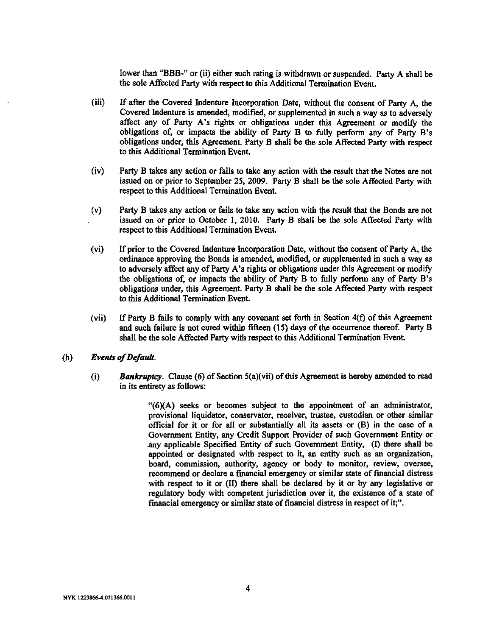lower than "BBB-" or (ii) either such rating is withdrawn or suspended. Party A shall be the sole Affected Party with respect to this Additional Termination Event.

- (iii) If after the Covered Indenture Incorporation Date, without the consent of Party A, the Covered Indenture is amended, modified, or supplemented in such a way as to adversely affect any of Party A's rights or obligations under this Agreement or modify the obligations of, or impacts the ability of Party B to fully perform any of Party B's obligations under, this Agreement. Party B shall be the sole Affected Party with respect to this Additional Termination Event.
- (iv) Party B takes any action or fails to take any action with the result that the Notes are not issued on or prior to September 25, 2009. Party B shall be the sole Affected Party with respect to this Additional Termination Event.
- (v) Party B takes any action or fails to take any action with the result that the Bonds are not issued on or prior to October 1, 2010. Party B shall be the sole Affected Party with respect to this Additional Termination Event.
- (vi) If prior to the Covered Indenture Incorporation Date, without the consent of Party A, the ordinance approving the Bonds is amended, modified, or supplemented in such a way as to adversely affect any of Party A's rights or obligations under this Agreement or modify the obligations of, or impacts the ability of Party B to fully perform any of Party B's obligations under, this Agreement. Party B shall be the sole Affected Party with respect to this Additional Termination Event.
- (vii) If Party B fails to comply with any covenant set forth in Section 4(f) of this Agreement and such failure is not cured within fifteen (15) days of the occurrence thereof. Party B shall be the sole Affected Party with respect to this Additional Termination Event.
- (h) *Events of Default.*
	- (i) *Bankruptcy.* Clause (6) of Section 5(a)(vii) of this Agreement is hereby amended to read in its entirety as follows:

"(6XA) seeks or becomes subject to the appointment of an administrator, provisional liquidator, conservator, receiver, trustee, custodian or other similar official for it or for all or substantially all its assets or (B) in the case of a Government Entity, any Credit Support Provider of such Government Entity or any applicable Specified Entity of such Government Entity, (I) there shall be appointed or designated with respect to it, an entity such as an organization, board, commission, authority, agency or body to monitor, review, oversee, recommend or declare a financial emergency or similar state of financial distress with respect to it or (II) there shall be declared by it or by any legislative or regulatory body with competent jurisdiction over it, the existence of a state of financial emergency or similar state of financial distress in respect of it;".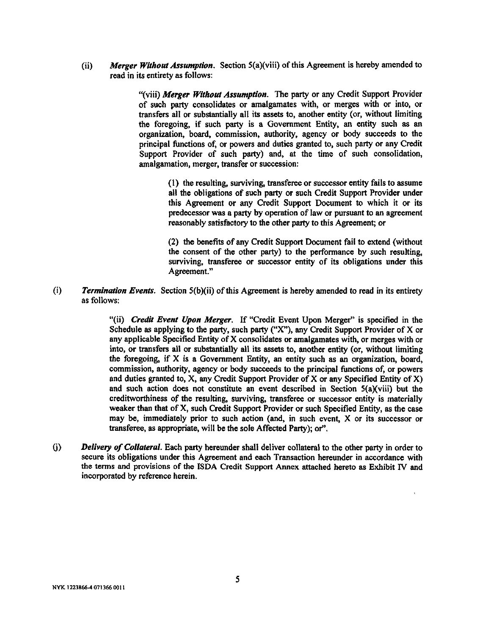(ii) *Merger Without Assumption.* Section 5(a)(viii) of this Agreement is hereby amended to read in its entirety as follows;

> "(viii) *Merger Without Assumption.* The party or any Credit Support Provider of such party consolidates or amalgamates with, or merges with or into, or transfers all or substantially all its assets to, another entity (or, without limiting the foregoing, if such party is a Government Entity, an entity such as an organization, board, commission, authority, agency or body succeeds to the principal functions of, or powers and duties granted to, such party or any Credit Support Provider of such party) and, at the time of such consolidation, amalgamation, merger, transfer or succession:

> > (1) the resulting, surviving, transferee or successor entity fails to assume all the obligations of such party or such Credit Support Provider under this Agreement or any Credit Support Document to which it or its predecessor was a party by operation of law or pursuant to an agreement reasonably satisfactory to the other party to this Agreement; or

> > (2) the benefits of any Credit Support Document fail to extend (without the consent of the other party) to the performance by such resulting, surviving, transferee or successor entity of its obligations under this Agreement."

(i) *Termination Events.* Section 5(b)(ii) of this Agreement is hereby amended to read in its entirety as follows:

> "(ii) *Credit Event Upon Merger.* If "Credit Event Upon Merger" is specified in the Schedule as applying to the party, such party  $("X")$ , any Credit Support Provider of X or any applicable Specified Entity of X consolidates or amalgamates with, or merges with or into, or transfers all or substantially ali its assets to, another entity (or, without limiting the foregoing, if X is a Government Entity, an entity such as an organization, board, commission, authority, agency or body succeeds to the principal functions of, or powers and duties granted to, X, any Credit Support Provider of X or any Specified Entity of X) and such action does not constitute an event described in Section 5(a)(viii) but the creditworthiness of the resulting, surviving, transferee or successor entity is materially weaker than that of X, such Credit Support Provider or such Specified Entity, as the case may be, immediately prior to such action (and, in such event, X or its successor or transferee, as appropriate, will be the sole Affected Party); or".

(j) *Deiivery of Collateral.* Each party hereunder shall deliver collateral to the other party in order to secure its obligations under this Agreement and each Transaction hereunder in accordance with the terms and provisions of the ISDA Credit Support Annex attached hereto as Exhibit IV and incorporated by reference herein.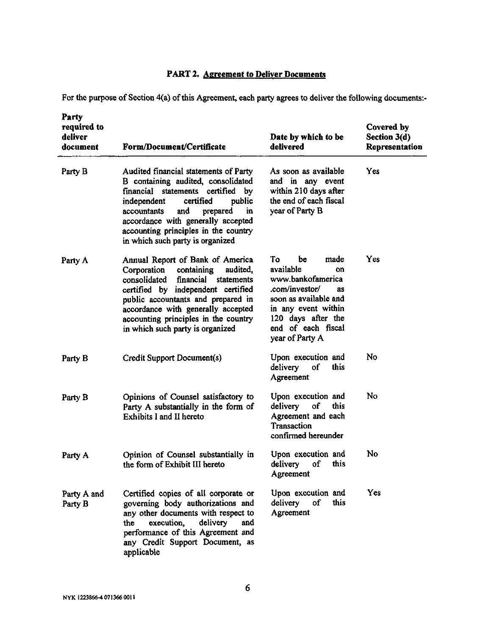## **PART 2. Agreement to Deliver Documents**

For the purpose of Section 4(a) of this Agreement, each party agrees to deliver the following documents:-

| Party<br>required to<br>deliver<br>document | Form/Document/Certificate                                                                                                                                                                                                                                                                                           | Date by which to be<br>delivered                                                                                                                                                                | Covered by<br>Section 3(d)<br>Representation |
|---------------------------------------------|---------------------------------------------------------------------------------------------------------------------------------------------------------------------------------------------------------------------------------------------------------------------------------------------------------------------|-------------------------------------------------------------------------------------------------------------------------------------------------------------------------------------------------|----------------------------------------------|
| Party B                                     | Audited financial statements of Party<br>B containing audited, consolidated<br>financial statements certified<br>by<br>independent<br>certified<br>public<br>and<br>accountants<br>prepared<br>in<br>accordance with generally accepted<br>accounting principles in the country<br>in which such party is organized | As soon as available<br>and in any event<br>within 210 days after<br>the end of each fiscal<br>year of Party B                                                                                  | Yes                                          |
| Party A                                     | Annual Report of Bank of America<br>Corporation<br>containing<br>audited,<br>financial<br>consolidated<br>statements<br>certified by independent certified<br>public accountants and prepared in<br>accordance with generally accepted<br>accounting principles in the country<br>in which such party is organized  | Тο<br>be<br>made<br>available<br>on<br>www.bankofamerica<br>.com/investor/<br>8S<br>soon as available and<br>in any event within<br>120 days after the<br>end of each fiscal<br>year of Party A | Yes                                          |
| Party B                                     | Credit Support Document(s)                                                                                                                                                                                                                                                                                          | Upon execution and<br>delivery<br>this<br>of<br>Agreement                                                                                                                                       | No                                           |
| Party B                                     | Opinions of Counsel satisfactory to<br>Party A substantially in the form of<br>Exhibits I and II hereto                                                                                                                                                                                                             | Upon execution and<br>delivery<br>of<br>this<br>Agreement and each<br>Transaction<br>confirmed hereunder                                                                                        | No                                           |
| Party A                                     | Opinion of Counsel substantially in<br>the form of Exhibit III hereto                                                                                                                                                                                                                                               | Upon execution and<br>this<br>delivery<br>of<br>Agreement                                                                                                                                       | No.                                          |
| Party A and<br>Party B                      | Certified copies of all corporate or<br>governing body authorizations and<br>any other documents with respect to<br>delivery<br>execution,<br>and<br>the<br>performance of this Agreement and<br>any Credit Support Document, as<br>applicable                                                                      | Upon execution and<br>delivery<br>of<br>this<br>Agreement                                                                                                                                       | Yes                                          |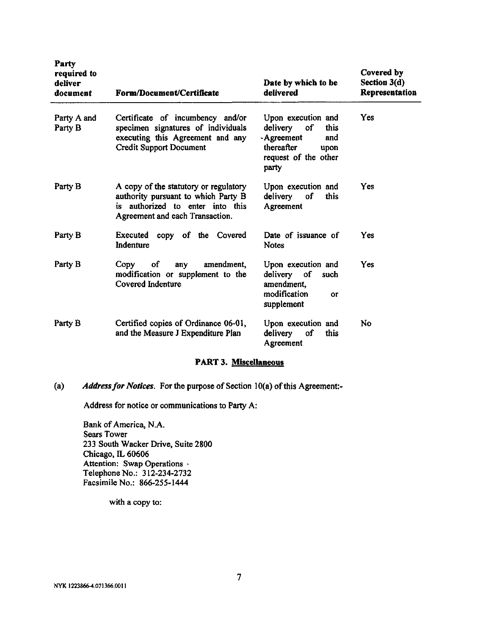| Party<br>required to<br>deliver<br>document | <b>Form/Document/Certificate</b>                                                                                                                    | Date by which to be<br>delivered                                                                                      | Covered by<br>Section 3(d)<br>Representation |
|---------------------------------------------|-----------------------------------------------------------------------------------------------------------------------------------------------------|-----------------------------------------------------------------------------------------------------------------------|----------------------------------------------|
| Party A and<br>Party B                      | Certificate of incumbency and/or<br>specimen signatures of individuals<br>executing this Agreement and any<br><b>Credit Support Document</b>        | Upon execution and<br>delivery of<br>this<br>-Agreement<br>and<br>thereafter<br>upon<br>request of the other<br>party | Yes                                          |
| Party B                                     | A copy of the statutory or regulatory<br>authority pursuant to which Party B<br>is authorized to enter into this<br>Agreement and each Transaction. | Upon execution and<br>delivery<br>of<br>this<br>Agreement                                                             | Yes                                          |
| Party B                                     | Executed<br>copy of the Covered<br>Indenture                                                                                                        | Date of issuance of<br><b>Notes</b>                                                                                   | Yes                                          |
| Party B                                     | <b>of</b><br>Copy<br>amendment,<br>any<br>modification or supplement to the<br>Covered Indenture                                                    | Upon execution and<br>delivery of<br>such<br>amendment,<br>modification<br>$\alpha$ r<br>supplement                   | <b>Yes</b>                                   |
| Party B                                     | Certified copies of Ordinance 06-01,<br>and the Measure J Expenditure Plan                                                                          | Upon execution and<br>delivery<br>of<br>this<br>Agreement                                                             | No                                           |

## **PART 3. Miscellaneous**

(a) *Address for Notices.* For the purpose of Section 10(a) of this Agreement:

Address for notice or communications to Party A:

Bank of America, N.A. Sears Tower 233 South Wacker Drive, Suite 2800 Chicago, IL 60606 Attention: Swap Operations • Telephone No.: 312-234-2732 Facsimile No.: 866-255-1444

with a copy to: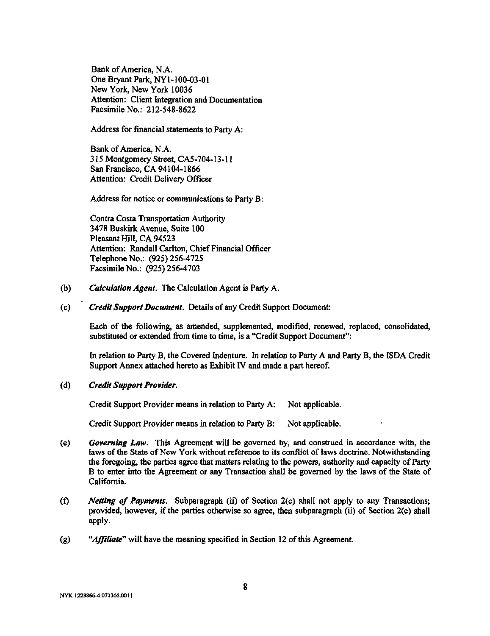Bank of America, N.A. One Bryant Park, NY1-100-03-01 New York, New York 10036 Attention: Client Integration and Documentation Facsimile No.:' 212-548-8622

Address for fmancial statements to Party A:

Bank of America, N.A. 315 Montgomery Street, CA5-704-13-11 San Francisco, CA 94104-1866 Attention: Credit Delivery Officer

Address for notice or communications to Party B:

Contra Costa Transportation Authority 3478 Buskirk Avenue, Suite 100 Pleasant Hill, CA 94523 Attention: Randall Carlton, Chief Financial Officer Telephone No.: (925)256-4725 Facsimile No.: (925) 256-4703

- (b) *Calculation Agent.* The Calculation Agent is Party A.
- (c) *Credit Support Document.* Details of any Credit Support Document:

Each of the following, as amended, supplemented, modified, renewed, replaced, consolidated, substituted or extended from time to time, is a "Credit Support Document":

In relation to Party B, the Covered Indenture. In relation to Party A and Party B, the ISDA Credit Support Annex attached hereto as Exhibit IV and made a part hereof.

**(d)** *Credit Support Provider.*

Credit Support Provider means in relation to Party A: Not applicable.

Credit Support Provider means in relation to Party B: Not applicable.

- (e) *Governing Law.* This Agreement will be governed by, and construed in accordance with, the laws of the State of New York without reference to its conflict of laws doctrine. Notwithstanding the foregoing, the parties agree that matters relating to the powers, authority and capacity of Party B to enter into the Agreement or any Transaction shall be governed by the laws of the State of California.
- (f) *Netting of Payments.* Subparagraph (ii) of Section 2(c) shall not apply to any Transactions; provided, however, if the parties otherwise so agree, then subparagraph (ii) of Section 2(c) shall apply.
- (g) *"Affiliate"* will have the meaning specified in Section 12 of this Agreement.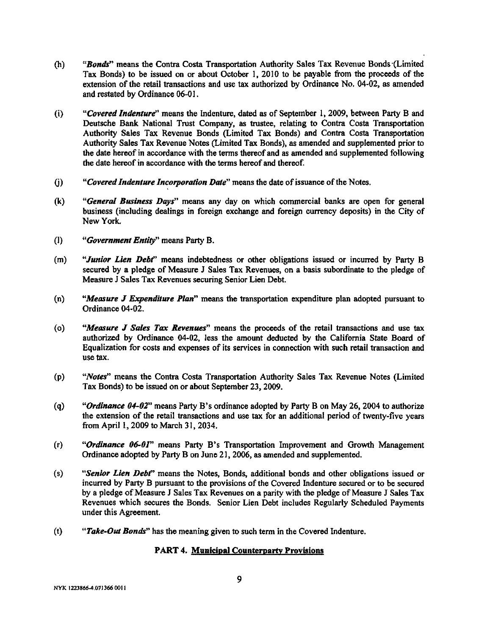- (h) *"Bonds"* means the Contra Costa Transportation Authority Sales Tax Revenue Bonds (Limited Tax Bonds) to be issued on or about October 1, 2010 to be payable from the proceeds of the extension of the retail transactions and use tax authorized by Ordinance No. 04-02, as amended and restated by Ordinance 06-01.
- (i) *"•'Covered Indenture'^* means the Indenture, dated as of September 1, 2009, between Party B and Deutsche Bank National Trust Company, as trustee, relating to Contra Costa Transportation Authority Sales Tax Revenue Bonds (Limited Tax Bonds) and Contra Costa Transportation Authority Sales Tax Revenue Notes (Limited Tax Bonds), as amended and supplemented prior to the date hereof in accordance with the terms thereof and as amended and supplemented following the date hereof in accordance with the terms hereof and thereof.
- 0) *"Covered Indenture Incorporation Date'"* means the date of issuance of the Notes.
- **(k)** *"General Business Days"* means any day on which commercial banks are open for general business (including dealings in foreign exchange and foreign currency deposits) in the City of New York.
- **(1)** *"Government Entity"* means Party B.
- (m) "Junior Lien Debt" means indebtedness or other obligations issued or incurred by Party B secured by a pledge of Measure J Sales Tax Revenues, on a basis subordinate to the pledge of Measure J Sales Tax Revenues securing Senior Lien Debt.
- (n) *"Measure J Expenditure Plan"* means the transportation expenditure plan adopted pursuant to Ordinance 04-02.
- (o) *"Measure J Sales Tax Revenues"* means the proceeds of the retail transactions and use tax authorized by Ordinance 04-02, less the amount deducted by the California State Board of Equalization for costs and expenses of its services in connection with such retail transaction and use tax.
- **(p)** *"Notes"* means the Contra Costa Transportation Authority Sales Tax Revenue Notes (Limited Tax Bonds) to be issued on or about September 23,2009.
- (q) *"Ordinance 04-02"* means Party B's ordinance adopted by Party B on May 26, 2004 to authorize the extension of the retail transactions and use tax for an additional period of twenty-five years from April 1,2009 to March 31, 2034.
- (r) *"Ordinance 06-01"* means Party B's Transportation Improvement and Growth Management Ordinance adopted by Party B on June 21, 2006, as amended and supplemented.
- (s) *"Senior Lien Debt"* means the Notes, Bonds, additional bonds and other obligations issued or incurred by Party B pursuant to the provisions of the Covered Indenture secured or to be secured by a pledge of Measure J Sales Tax Revenues on a parity with the pledge of Measure J Sales Tax Revenues which secures the Bonds. Senior Lien Debt includes Regularly Scheduled Payments under this Agreement.
- (t) *"Take-Out Bonds"* has the meaning given to such term in the Covered Indenture.

### **PART 4. Municipal Counterparty Provisions**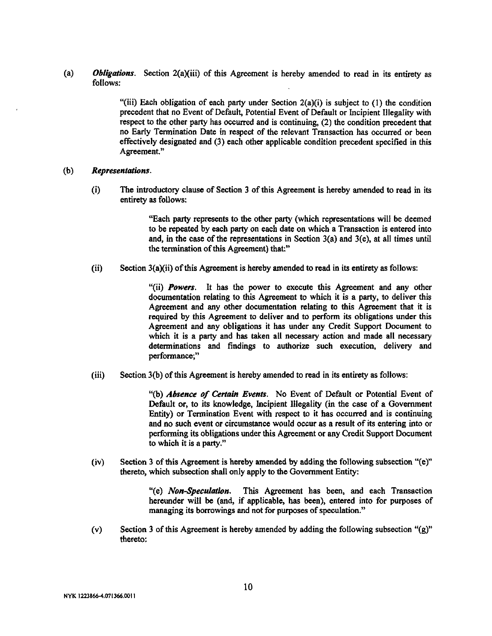**(a)** *Obligations.* Section 2(a)(iii) of this Agreement is hereby amended to read in its entirety as follows:

> "(iii) Each obligation of each party under Section  $2(a)(i)$  is subject to (1) the condition precedent that no Event of Default, Potential Event of Default or Incipient Illegality with respect to the other party has occurred and is continuing, (2) the condition precedent that no Early Termination Date in respect of the relevant Transaction has occurred or been effectively designated and (3) each other applicable condition precedent specified in this Agreement."

#### **(b)** *Representations.*

(i) The introductory clause of Section 3 of this Agreement is hereby amended to read in its entirety as follows:

> "Each party represents to the other party (which representations will be deemed to be repeated by each party on each date on which a Transaction is entered into and, in the case of the representations in Section 3(a) and 3(e), at all times until the termination of this Agreement) that:"

(ii) Section  $3(a)(ii)$  of this Agreement is hereby amended to read in its entirety as follows:

"(ii) *Powers.* It has the power to execute this Agreement and any other documentation relating to this Agreement to which it is a party, to deliver this Agreement and any other documentation relating to this Agreement that it is required by this Agreement to deliver and to perform its obligations under this Agreement and any obligations it has under any Credit Support Document to which it is a party and has taken all necessary action and made all necessary determinations and findings to authorize such execution, delivery and performance;"

(iii) Section 3(b) of this Agreement is hereby amended to read in its entirety as follows:

**"(b)** *Absence of Certain Events.* No Event of Default or Potential Event of Default or, to its knowledge. Incipient Illegality (in the case of a Government Entity) or Termination Event with respect to it has occurred and is continuing and no such event or circumstance would occur as a result of its entering into or performing its obligations under this Agreement or any Credit Support Document to which it is a party."

(iv) Section 3 of this Agreement is hereby amended by adding the following subsection "(e)" thereto, which subsection shall only apply to the Government Entity:

> "(e) *Non-Speculation,* This Agreement has been, and each Transaction hereunder will be (and, if applicable, has been), entered into for purposes of managing its borrowings and not for purposes of speculation,"

(v) Section 3 of this Agreement is hereby amended by adding the following subsection "(g)" thereto: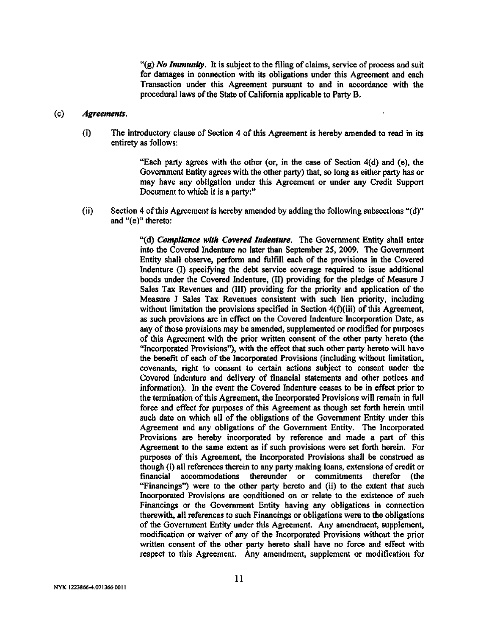"(g) *No Immunity.* It is subject to the filing of claims, service of process and suit for damages in connection with its obligations under this Agreement and each Transaction under this Agreement pursuant to and in accordance with the procedural laws of the State of California applicable to Party B.

#### (c) *Agreements.*

(i) The introductory clause of Section 4 of this Agreement is hereby amended to read in its entirety as follows:

> "Each party agrees with the other (or, in the case of Section 4(d) and (e), the Government Entity agrees with the other party) that, so long as either party has or may have any obligation under this Agreement or under any Credit Support Document to which it is a party:"

(ii) Section 4 of this Agreement is hereby amended by adding the following subsections "(d)" and "(e)" thereto:

> "(d) *Compliance with Covered Indenture.* The Government Entity shall enter into the Covered Indenture no later than September 25, 2009. The Government Entity shall observe, perform and fulfill each of the provisions in the Covered Indenture (I) specifying the debt service coverage required to issue additional bonds under the Covered Indenture, (II) providing for the pledge of Measure J Sales Tax Revenues and (III) providing for the priority and application of the Measure J Sales Tax Revenues consistent with such lien priority, including without limitation the provisions specified in Section 4(f)(iii) of this Agreement, as such provisions are in effect on the Covered Indenture Incorporation Date, as any of those provisions may be amended, supplemented or modified for purposes of this Agreement with the prior written consent of the other party hereto (the "Incorporated Provisions"), with the effect that such other party hereto will have the benefit of each of the Incorporated Provisions (including without limitation, covenants, right to consent to certain actions subject to consent under the Covered Indenture and delivery of financial statements and other notices and information). In the event the Covered Indenture ceases to be in effect prior to the termination of this Agreement, the Incorporated Provisions will remain in full force and effect for purposes of this Agreement as though set forth herein until such date on which all of the obligations of the Government Entity under this Agreement and any obligations of the Government Entity. The Incorporated Provisions are hereby incorporated by reference and made a part of this Agreement to the same extent as if such provisions were set forth herein. For purposes of this Agreement, the Incorporated Provisions shall be construed as though (i) all references therein to any party making loans, extensions of credit or financial accommodations thereunder or commitments therefor (the "Financings") were to the other party hereto and (ii) to the extent that such Incorporated Provisions are conditioned on or relate to the existence of such Financings or the Government Entity having any obligations in connection therewith, all references to such Financings or obligations were to the obligations of the Government Entity under this Agreement. Any amendment, supplement, modification or waiver of any of the Incorporated Provisions without the prior written consent of the other party hereto shall have no force and effect with respect to this Agreement. Any amendment, supplement or modification for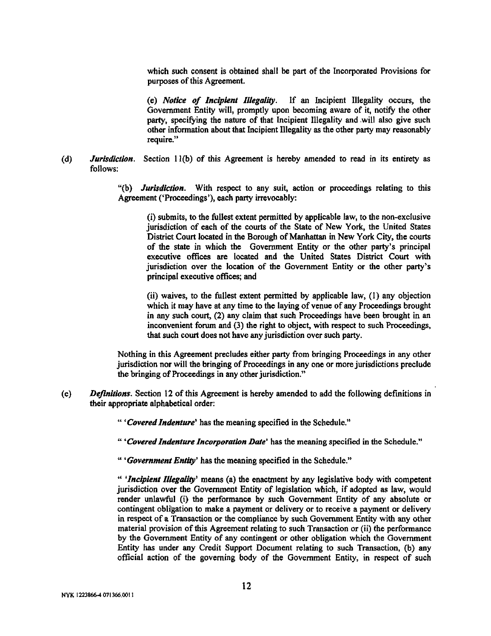which such consent is obtained shall be part of the Incorporated Provisions for purposes of this Agreement.

(e) *Notice of Incipient Illegality.* If an Incipient Illegality occurs, the Government Entity will, promptly upon becoming aware of it, notify the other party, specifying the nature of that Incipient Illegality and will also give such other information about that Incipient Illegality as the other party may reasonably require."

(d) *Jurisdiction.* Section 1 l(b) of this Agreement is hereby amended to read in Its entirety as follows:

> **"(b)** *Jurisdiction.* With respect to any suit, action or proceedings relating to this Agreement ('Proceedings'), each party irrevocably:

(i) submits, to the fullest extent permitted by applicable law, to the non-exclusive jurisdiction of each of the courts of the State of New York, the United States District Court located in the Borough of Manhattan in New York City, the courts of the state in which the Government Entity or the other party's principal executive offices are located and the United States District Court with jurisdiction over the location of the Government Entity or the other party's principal executive offices; and

(ii) waives, to the fullest extent permitted by applicable law, (1) any objection which it may have at any time to the laying of venue of any Proceedings brought in any such court, (2) any claim that such Proceedings have been brought in an inconvenient forum and (3) the right to object, with respect to such Proceedings, that such court does not have any jurisdiction over such party.

Nothing in this Agreement precludes either party from bringing Proceedings in any other jurisdiction nor will the bringing of Proceedings in any one or more jurisdictions preclude the bringing of Proceedings in any other jurisdiction."

(e) *Definitions.* Section 12 of this Agreement is hereby amended to add the following definitions in their appropriate alphabetical order:

" *'CoveredIndenture'* has the meaning specified in the Schedule."

" *^CoveredIndenture Incorporation Date'* has the meaning specified in the Schedule."

" *'^Government Entity'* has the meaning specified in the Schedule."

" *'Incipient Illegality'* means (a) the enactment by any legislative body with competent jurisdiction over the Government Entity of legislation which, if adopted as law, would render unlawful (i) the performance by such Government Entity of any absolute or contingent obligation to make a payment or delivery or to receive a payment or delivery in respect of a Transaction or the compliance by such Government Entity with any other material provision of this Agreement relating to such Transaction or (ii) the performance by the Government Entity of any contingent or other obligation which the Government Entity has under any Credit Support Document relating to such Transaction, (b) any official action of the governing body of the Government Entity, in respect of such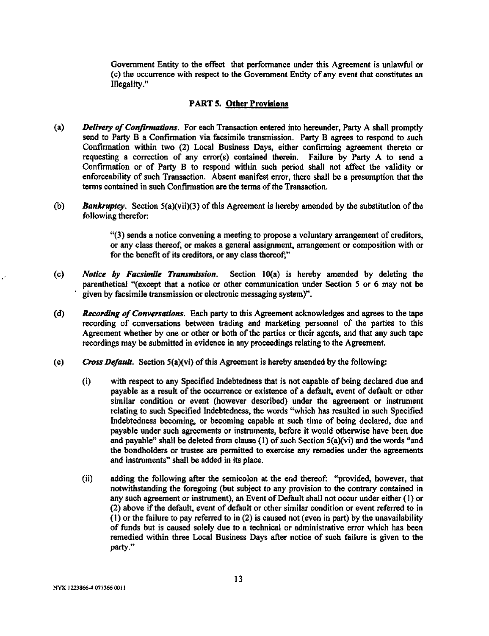Government Entity to the effect that performance under this Agreement is unlawful or (c) the occurrence with respect to the Government Entity of any event that constitutes an Illegality."

#### PART 5. Other Provisions

- (a) *Delivery of Confirmations.* For each Transaction entered into hereunder, Party A shall promptly send to Party B a Confirmation via facsimile transmission. Party B agrees to respond to such Confirmation within two (2) Local Business Days, either confirming agreement thereto or requesting a correction of any error(s) contained therein. Failure by Party A to send a Confirmation or of Party B to respond within such period shall not affect the validity or enforceability of such Transaction. Absent manifest error, there shall be a presumption that the terms contained in such Confirmation are the terms of the Transaction.
- (b) *Bankruptcy.* Section 5(a)(vii)(3) of this Agreement is hereby amended by the substitution of the following therefor:

"(3) sends a notice convening a meeting to propose a voluntary arrangement of creditors, or any class thereof, or makes a general assignment, arrangement or composition with or for the benefit of its creditors, or any class thereof;"

- (c) *Notice by Facsimile Transmission.* Section 10(a) is hereby amended by deleting the parenthetical "(except that a notice or other communication under Section 5 or 6 may not be given by facsimile transmission or electronic messaging system)".
- (d) *Recording of Conversations.* Each party to this Agreement acknowledges and agrees to the tape recording of conversations between trading and marketing personnel of the parties to this Agreement whether by one or other or both of the parties or their agents, and that any such tape recordings may be submitted in evidence in any proceedings relating to the Agreement.
- (e) *Cross Default.* Section 5(a)(vi) of this Agreement is hereby amended by the following:
	- (i) with respect to any Specified Indebtedness that is not capable of being declared due and payable as a result of the occurrence or existence of a default, event of default or other similar condition or event (however described) under the agreement or instrument relating to such Specified Indebtedness, the words "which has resulted in such Specified Indebtedness becoming, or becoming capable at such time of being declared, due and payable under such agreements or instruments, before it would otherwise have been due and payable" shall be deleted from clause (1) of such Section 5(a)(vi) and the words "and the bondholders or trustee are permitted to exercise any remedies under the agreements and instruments" shall be added in its place.
	- (ii) adding the following after the semicolon at the end thereof: "provided, however, that notwithstanding the foregoing (but subject to any provision to the contrary contained in any such agreement or instrument), an Event of Default shall not occur under either (1) or (2) above if the default, event of default or other similar condition or event referred to in (1) or the failure to pay referred to in (2) is caused not (even in part) by the unavailability of funds but is caused solely due to a technical or administrative error which has been remedied within three Local Business Days after notice of such failure is given to the party."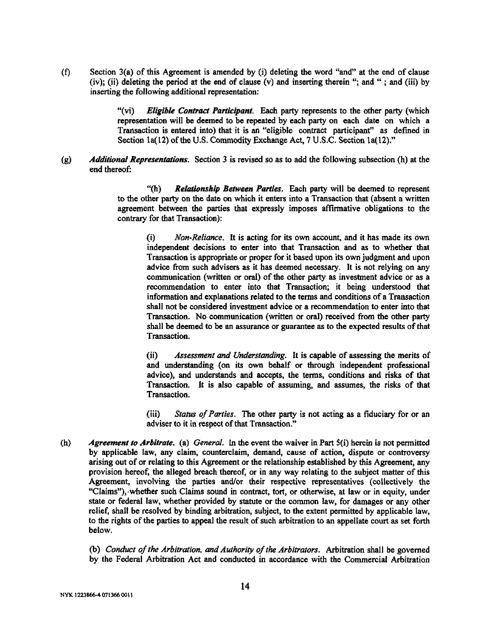(f) Section 3(a) of this Agreement is amended by (i) deleting the word "and" at the end of clause (iv); (ii) deleting the period at the end of clause  $(v)$  and inserting therein "; and "; and (iii) by inserting the following additional representation:

> "(vi) *Eligible Contract Participant.* Each party represents to the other party (which representation will be deemed to be repeated by each party on each date on which a Transaction is entered into) that it is an "eligible contract participant" as defined in Section 1a(12) of the U.S. Commodity Exchange Act, 7 U.S.C. Section 1a(12)."

(g) *Additional Representations.* Section 3 is revised so as to add the following subsection (h) at the end thereof:

> "(h) *Relationship Between Parties.* Each party will be deemed to represent to the other party on the date on which it enters into a Transaction that (absent a written agreement between the parties that expressly imposes affirmative obligations to the contrary for that Transaction):

(i) *Non-Reliance.* It is acting for its own account, and it has made its own independent decisions to enter into that Transaction and as to whether that Transaction is appropriate or proper for it based upon its own judgment and upon advice from such advisers as it has deemed necessary. It is not relying on any communication (written or oral) of the other party as investment advice or as a recommendation to enter into that Transaction; it being understood that information and explanations related to the terms and conditions of a Transaction shall not be considered investment advice or a recommendation to enter into that Transaction. No communication (written or oral) received from the other party shall be deemed to be an assurance or guarantee as to the expected results of that Transaction.

(ii) *Assessment and Understanding.* It is capable of assessing the merits of and understanding (on its own behalf or through independent professional advice), and understands and accepts, the terms, conditions and risks of that Transaction. It is also capable of assuming, and assumes, the risks of that Transaction.

(iii) *Status of Parties.* The other party is not acting as a fiduciary for or an adviser to it in respect of that Transaction."

(h) *Agreement to Arbitrate,* **(a)** *General.* In the event the waiver in Part 5(i) herein is not permitted by applicable law, any claim, counterclaim, demand, cause of action, dispute or controversy arising out of or relating to this Agreement or the relationship established by this Agreement, any provision hereof, the alleged breach thereof, or in any way relating to the subject matter of this Agreement, involving the parties and/or their respective representatives (collectively the "Claims"), whether such Claims sound in contract, tort, or otherwise, at law or in equity, under state or federal law, whether provided by statute or the common law, for damages or any other relief, shall be resolved by binding arbitration, subject, to the extent permitted by applicable law, to the rights of the parties to appeal the result of such arbitration to an appellate court as set forth below.

(b) *Conduct of the Arbitration, and Authority of the Arbitrators.* Arbitration shall be governed by the Federal Arbitration Act and conducted in accordance with the Commercial Arbitration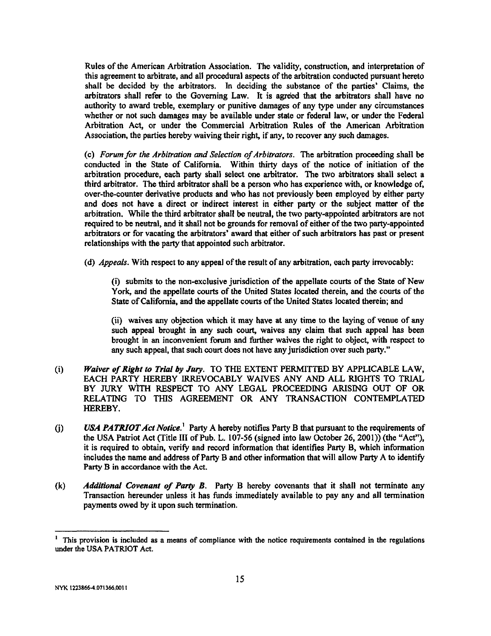Rules of the American Arbitration Association. The validity, construction, and interpretation of this agreement to arbitrate, and all procedural aspects of the arbitration conducted pursuant hereto shall be decided by the arbitrators. In deciding the substance of the parties' Claims, the arbitrators shall refer to the Governing Law. It is agreed that the arbitrators shall have no authority to award treble, exemplary or punitive damages of any type under any circumstances whether or not such damages may be available under state or federal law, or under the Federal Arbitration Act, or under the Commercial Arbitration Rules of the American Arbitration Association, the parties hereby waiving their right, if any, to recover any such damages.

(c) *Forum for the Arbitration and Selection of Arbitrators.* The arbitration proceeding shall be conducted in the State of California. Within thirty days of the notice of initiation of the arbitration procedure, each party shall select one arbitrator. The two arbitrators shall select a third arbitrator. The third arbitrator shall be a person who has experience with, or knowledge of, over-the-counter derivative products and who has not previously been employed by either party and does not have a direct or indirect interest in either party or the subject matter of the arbitration. While the third arbitrator shall be neutral, the two party-appointed arbitrators are not required to be neutral, and it shall not be grounds for removal of either of the two party-appointed arbitrators or for vacating the arbitrators' award that either of such arbitrators has past or present relationships with the party that appointed such arbitrator.

(d) *Appeals.* With respect to any appeal of the result of any arbitration, each party irrevocably:

(i) submits to the non-exclusive jurisdiction of the appellate courts of the State of New York, and the appellate courts of the United States located therein, and the courts of the State of California, and the appellate courts of the United States located therein; and

(ii) waives any objection which it may have at any time to the laying of venue of any such appeal brought in any such court, waives any claim that such appeal has been brought in an inconvenient forum and further waives the right to object, with respect to any such appeal, that such court does not have any jurisdiction over such party."

- (i) *Waiver of Right to Trial by Jury.* TO THE EXTENT PERMITTED BY APPLICABLE LAW, EACH PARTY HEREBY IRREVOCABLY WAIVES ANY AND ALL RIGHTS TO TRIAL BY JURY WITH RESPECT TO ANY LEGAL PROCEEDING ARISING OUT OF OR RELATING TO THIS AGREEMENT OR ANY TRANSACTION CONTEMPLATED HEREBY.
- (j) *USA PATRIOT Act Notice.^* Party A hereby notifies Party B that pursuant to the requirements of the USA Patriot Act (Title III of Pub. L. 107-56 (signed into law October 26, 2001)) (the "Act"), it is required to obtain, verify and record information that identifies Party B, which information includes the name and address of Party B and other information that will allow Party A to identify Party B in accordance with the Act.
- (k) *Additional Covenant of Party B.* Party B hereby covenants that it shall not terminate any Transaction hereunder unless it has funds immediately available to pay any and all termination payments owed by it upon such termination.

This provision is included as a means of compliance with the notice requirements contained in the regulations under the USA PATRIOT Act.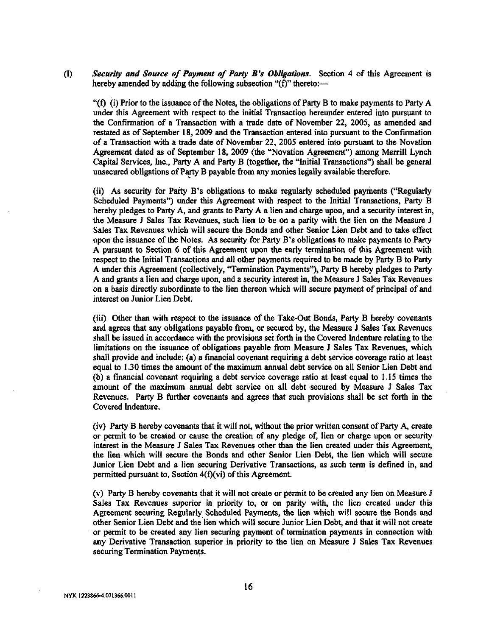(1) *Security and Source of Payment of Party B's Obligations.* Section 4 of this Agreement is hereby amended by adding the following subsection " $(f)$ " thereto:—

"(f) (i) Prior to the issuance of the Notes, the obligations of Party B to make payments to Party A under this Agreement with respect to the initial Transaction hereunder entered into pursuant to the Confirmation of a Transaction with a trade date of November 22, 2005, as amended and restated as of September 18, 2009 and the Transaction entered into pursuant to the Confirmation of a Transaction with a trade date of November 22, 2005 entered into pursuant to the Novation Agreement dated as of September 18, 2009 (the "Novation Agreement") among Merrill Lynch Capital Services, Inc., Party A and Party B (together, the "Initial Transactions") shall be general unsecured obligations of Party B payable from any monies legally available therefore.

(ii) As security for Party B's obligations to make regularly scheduled payments ("Regularly Scheduled Payments") under this Agreement with respect to the Initial Transactions, Party B hereby pledges to Party A, and grants to Party A a lien and charge upon, and a security interest in, the Measure J Sales Tax Revenues, such lien to be on a parity with the lien on the Measure J Sales Tax Revenues which will secure the Bonds and other Senior Lien Debt and to take effect upon the issuance of the Notes. As security for Party B's obligations to make payments to Party A pursuant to Section 6 of this Agreement upon the early termination of this Agreement with respect to the Initial Transactions and all other payments required to be made by Party B to Party A under this Agreement (collectively, "Termination Payments"), Party B hereby pledges to Party A and grants a lien and charge upon, and a security interest in, the Measure J Sales Tax Revenues on a basis directly subordinate to the lien thereon which will secure payment of principal of and interest on Junior Lien Debt.

(iii) Other than with respect to the issuance of the Take-Out Bonds, Party B hereby covenants and agrees that any obligations payable from, or secured by, the Measure J Sales Tax Revenues shall be issued in accordance with the provisions set forth in the Covered Indenture relating to the limitations on the issuance of obligations payable from Measure J Sales Tax Revenues, which shall provide and include: (a) a financial covenant requiring a debt service coverage ratio at least equal to 1.30 times the amount of the maximum annual debt service on all Senior Lien Debt and (b) a financial covenant requiring a debt service coverage ratio at least equal to 1.15 times the amount of the maximum annual debt service on all debt secured by Measure J Sales Tax Revenues. Party B further covenants and agrees that such provisions shall be set forth in the Covered Indenture.

(iv) Party B hereby covenants that it will not, without the prior written consent of Party A, create or permit to be created or cause the creation of any pledge of, lien or charge upon or security interest in the Measure J Sales Tax Revenues other than the lien created under this Agreement, the lien which will secure the Bonds and other Senior Lien Debt, the lien which will secure Junior Lien Debt and a lien securing Derivative Transactions, as such term is defined in, and permitted pursuant to, Section  $4(f)(vi)$  of this Agreement.

(v) Party B hereby covenants that it will not create or permit to be created any lien on Measure J Sales Tax Revenues superior in priority to, or on parity with, the lien created under this Agreement securing Regularly Scheduled Payments, the lien which will secure the Bonds and other Senior Lien Debt and the lien which will secure Junior Lien Debt, and that it will not create or permit to be created any lien securing payment of termination payments in connection with any Derivative Transaction superior in priority to the lien on Measure J Sales Tax Revenues securing Termination Payments.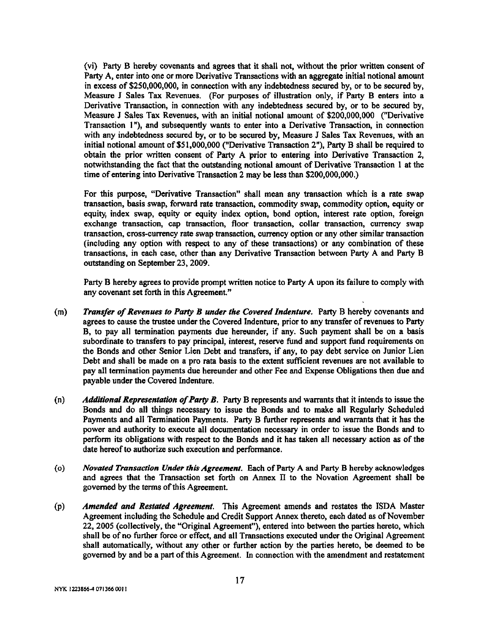(vi) Party B hereby covenants and agrees that it shall not, without the prior written consent of Party A, enter into one or more Derivative Transactions with an aggregate initial notional amount in excess of \$250,000,000, in connection with any mdebtedness secured by, or to be secured by. Measure J Sales Tax Revenues. (For purposes of illustration only, if Party B enters into a Derivative Transaction, in connection with any indebtedness secured by, or to be secured by. Measure J Sales Tax Revenues, with an initial notional amount of \$200,000,000 ("Derivative Transaction 1"), and subsequently wants to enter into a Derivative Transaction, in connection with any indebtedness secured by, or to be secured by. Measure J Sales Tax Revenues, with an initial notional amount of \$51,000,000 ("Derivative Transaction 2"), Party B shall be required to obtain the prior written consent of Party A prior to entering into Derivative Transaction 2, notwithstanding the fact that the outstanding notional amount of Derivative Transaction 1 at the time of entering into Derivative Transaction 2 may be less than \$200,000,000.)

For this purpose, "Derivative Transaction" shall mean any transaction which is a rate swap transaction, basis swap, forward rate transaction, commodity swap, commodity option, equity or equity, index swap, equity or equity index option, bond option, interest rate option, foreign exchange transaction, cap transaction, floor transaction, collar transaction, currency swap transaction, cross-currency rate swap transaction, currency option or any other similar transaction (including any option with respect to any of these transactions) or any combination of these transactions, in each case, other than any Derivative Transaction between Party A and Party B outstanding on September 23,2009.

Party B hereby agrees to provide prompt written notice to Party A upon its failure to comply with any covenant set forth in this Agreement."

- **(m)** *Transfer of Revenues to Party B under the Covered Indenture.* Party B hereby covenants and agrees to cause the trustee under the Covered Indenture, prior to any transfer of revenues to Party B, to pay all termination payments due hereunder, if any. Such payment shall be on a basis subordinate to transfers to pay principal, interest, reserve fiind and support fund requirements on the Bonds and other Senior Lien Debt and transfers, if any, to pay debt service on Junior Lien Debt and shall be made on a pro rata basis to the extent sufficient revenues are not available to pay all termination payments due hereunder and other Fee and Expense Obligations then due and payable under the Covered Indenture.
- (n) *Additional Representation of Party B.* Party B represents and warrants that it intends to issue the Bonds and do all things necessary to issue the Bonds and to make all Regularly Scheduled Payments and all Termination Payments. Party B further represents and warrants that it has the power and authority to execute all documentation necessary in order to issue the Bonds and to perform its obligations with respect to the Bonds and it has taken all necessary action as of the date hereof to authorize such execution and performance.
- (o) *Novated Transaction Under this Agreement.* Each of Party A and Party B hereby acknowledges and agrees that the Transaction set forth on Annex 11 to the Novation Agreement shall be governed by the terms of this Agreement.
- (p) *Amended and Restated Agreement.* This Agreement amends and restates the ISDA Master Agreement including the Schedule and Credit Support Annex thereto, each dated as of November 22, 2005 (collectively, the "Original Agreement"), entered into between the parties hereto, which shall be of no further force or effect, and all Transactions executed under the Original Agreement shall automatically, without any other or further action by the parties hereto, be deemed to be governed by and be a part of this Agreement. In connection with the amendment and restatement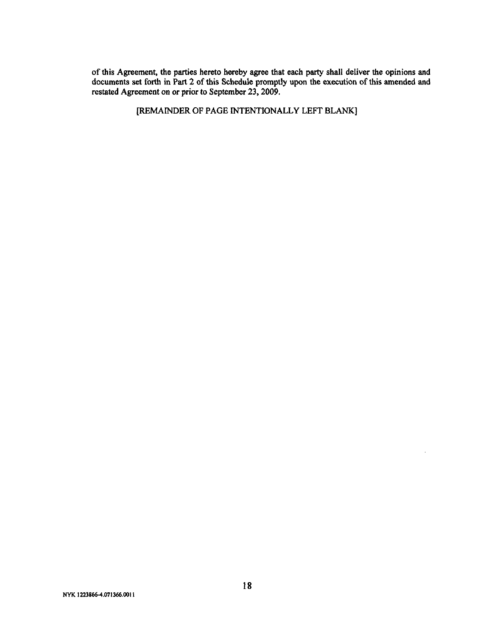of this Agreement, the parties hereto hereby agree that each party shall deliver the opinions and documents set forth in Part 2 of this Schedule promptly upon the execution of this amended and restated Agreement on or prior to September 23,2009.

[REMAINDER OF PAGE INTENTIONALLY LEFT BLANK]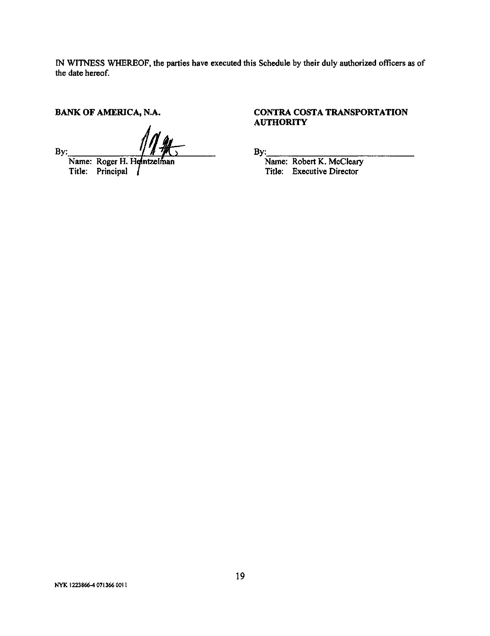IN WITNESS WHEREOF, the parties have executed this Schedule by their duly authorized officers as of the date hereof.

**BANK OF AMERICA, N.A.** 

By: Name: Roger H. Heintzelman

Title: Principal

## **CONTRA COSTA TRANSPORTATION AUTHORITY**

By:

Name: Robert K. McCleary Title: Executive Director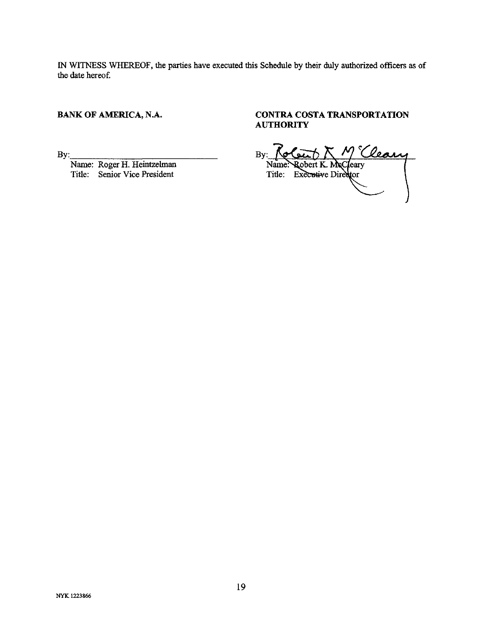IN WITNESS WHEREOF, the parties have executed this Schedule by their duly authorized officers as of the date hereof

## **BANK OF AMERICA, N.A.**

By:\_

Name: Roger H. Heintzelman Title: Senior Vice President

## CONTRA COSTA TRANSPORTATION **AUTHORITY**

By: **Notart**  $\bigwedge \mathcal{M}^{\circ}$ Name: Robert K. McCleary Title: Executive Director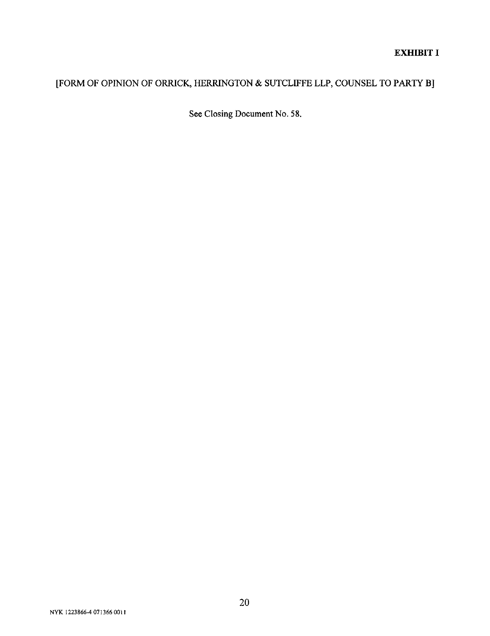## **EXHIBIT I**

# [FORM OF OPINION OF ORRICK, HERRINGTON & SUTCLIFFE LLP, COUNSEL TO PARTY B]

See Closing Document No. 58.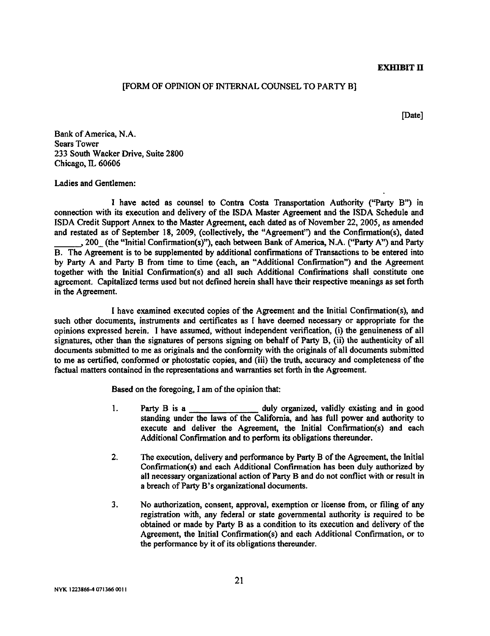#### EXHIBIT II

#### [FORM OF OPINION OF INTERNAL COUNSEL TO PARTY B]

[Date]

Bank of America, N.A. Sears Tower 233 South Wacker Drive, Suite 2800 Chicago, IL 60606

Ladies and Gentlemen:

I have acted as counsel to Contra Costa Transportation Authority ("Party B") in connection with its execution and delivery of the ISDA Master Agreement and the ISDA Schedule and ISDA Credit Support Annex to the Master Agreement, each dated as of November 22, 2005, as amended and restated as of September 18, 2009, (collectively, the "Agreement") and the Confirmation(s), dated , 200\_ (the "Initial Confirmation(s)"), each between Bank of America, N.A. ("Party A") and Party B. The Agreement is to be supplemented by additional confirmations of Transactions to be entered into by Party A and Party B from time to time (each, an "Additional Confirmation") and the Agreement together with the Initial Confirmation(s) and all such Additional Confirmations shall constitute one agreement. Capitalized terms used but not defined herein shall have their respective meanings as set forth in the Agreement.

I have examined executed copies of the Agreement and the Initial Confinnation(s), and such other documents, instruments and certificates as I have deemed necessary or appropriate for the opinions expressed herein. I have assumed, without independent verification, (i) the genuineness of all signatures, other than the signatures of persons signing on behalf of Party B, (ii) the authenticity of all documents submitted to me as originals and the conformity with the originals of all documents submitted to me as certified, conformed or photostatic copies, and (iii) the truth, accuracy and completeness of the factual matters contained in the representations and warranties set forth in the Agreement.

Based on the foregoing, I am of the opinion that:

- 1. Party B is a duly organized, validly existing and in good standing under the laws of the California, and has full power and authority to execute and deliver the Agreement, the Initial Confirmation(s) and each Additional Confirmation and to perform its obligations thereunder.
- 2. The execution, delivery and performance by Party B of the Agreement, the Initial Confinnation(s) and each Additional Confirmation has been duly authorized by all necessary organizational action of Party B and do not conflict with or result in a breach of Party B's organizational documents.
- 3. No authorization, consent, approval, exemption or license from, or filing of any registration with, any federal or state governmental authority is required to be obtained or made by Party B as a condition to its execution and delivery of the Agreement, the Initial Confirmation(s) and each Additional Confirmation, or to the performance by it of its obligations thereunder.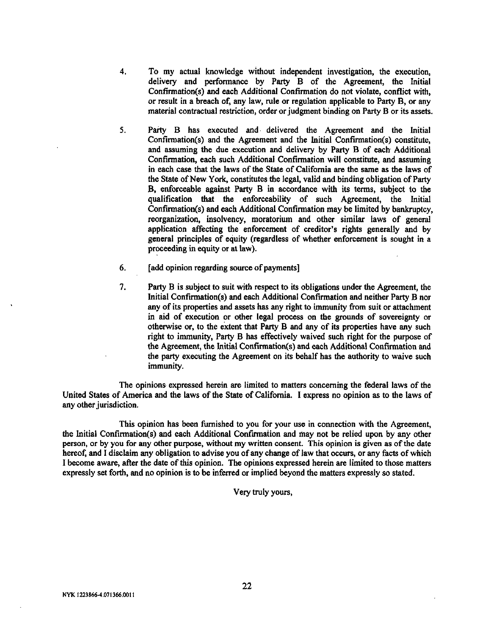- 4. To my actual knowledge without independent investigation, the execution, delivery and performance by Party B of the Agreement, the Initial Confirmation(s) and each Additional Confirmation do not violate, conflict with, or result in a breach of, any law, rule or regulation applicable to Party B, or any material contractual restriction, order or judgment binding on Party B or its assets.
- 5. Party B has executed and delivered the Agreement and the Initial Confirmation(s) and the Agreement and the Initial Confinnation(s) constitute, and assuming the due execution and delivery by Party B of each Additional Confirmation, each such Additional Confirmation will constitute, and assuming in each case that the laws of the State of California are the same as the laws of the State of New York, constitutes the legal, valid and binding obligation of Party B, enforceable against Party B in accordance with its terms, subject to the qualification that the enforceability of such Agreement, the Initial Confinnation(s) and each Additional Confirmation may be limited by bankruptcy, reorganization, insolvency, moratorium and other similar laws of general application affecting the enforcement of creditor's rights generally and by general principles of equity (regardless of whether enforcement is sought in a proceeding in equity or at law).
- 6. [add opinion regarding source of payments]
- 7. Party B is subject to suit with respect to its obligations under the Agreement, the Initial Confirmation(s) and each Additional Confirmation and neither Party B nor any of its properties and assets has any right to immunity from suit or attachment in aid of execution or other legal process on the grounds of sovereignty or otherwise or, to the extent that Party B and any of its properties have any such right to immunity. Party B has effectively waived such right for the purpose of the Agreement, the Initial Confinnation(s) and each Additional Confirmation and the party executing the Agreement on its behalf has the authority to waive such immunity.

The opinions expressed herein are limited to matters concerning the federal laws of the United States of America and the laws of the State of California. I express no opinion as to the laws of any other jurisdiction.

This opinion has been furnished to you for your use in connection with the Agreement, the Initial Confirmation(s) and each Additional Confirmation and may not be relied upon by any other person, or by you for any other purpose, without my written consent. This opinion is given as of die date hereof, and I disclaim any obligation to advise you of any change of law that occurs, or any facts of which I become aware, after the date of this opinion. The opinions expressed herein are limited to those matters expressly set forth, and no opinion is to be inferred or implied beyond the matters expressly so stated.

Very truly yours.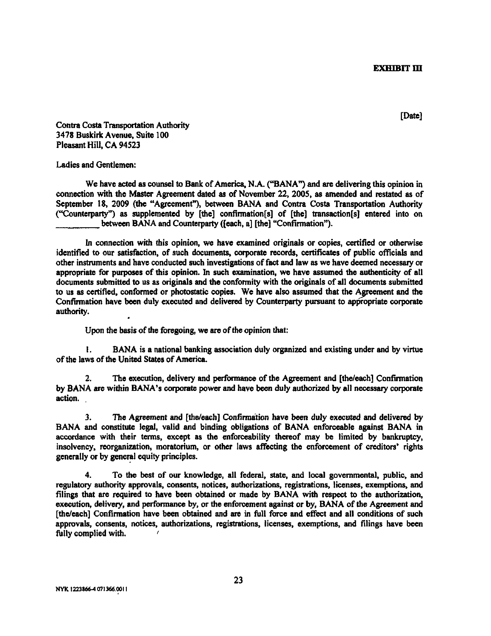**EXHIBIT III** 

**[Date]**

**Contra Costa Transportation Authority 3478 Buskirk Avenue, Suite 100 Pleasant Hill, CA 94523**

**Ladies and Gentlemen:**

**We have acted as counsel to Bank of America, N.A. ("BANA") and are delivering this opinion in connection with the Master Agreement dated as of November 22, 200S, as amended and restated as of September 18, 2009 (the "Agreement"), between BANA and Contra Costa Transportation Authority ("Counterparty") as supplemented by [the] confinnation[s] of [the] transaction[s] entered into on between BANA and Counterparty ([each, a] [the] "Confirmation").**

**In connection with this opinion, we have examined originals or copies, certified or otherwise identified to our satisfaction, of such documents, corporate records, certificates of public officials and other instruments and have conducted such investigations of fact and law as we have deemed necessary or appropriate for purposes of this opinion. In such examination, we have assumed the audienticity of all documents submitted to us as originals and the conformity with the originals of all documents submitted** to us as certified, conformed or photostatic copies. We have also assumed that the Agreement and the **Confirmation have been duly executed and delivered by Counterparty pursuant to appropriate corporate authority.**

**Upon the basis of the foregoing, we are of the opinion that:**

**1. BANA is a national banking association duly organized and existing under and by virtue of the laws of the United States of America.**

*2.* **The execution, delivery and performance of the Agreement and [the/each] Confirmation by BANA are within BANA's corporate power and have been duly authorized by all necessary corporate action.**

**3. The Agreement and [the/each] Confirma^tion have been duly executed and delivered by BANA and constitute legal, valid and binding obligations of BANA enforceable against BANA in accordance with their terms, except as the enforceability thereof may be limited by bankruptcy, insolvency, reorganization, moratorium, or other laws affecting the enforcement of creditors\* rights generally or by general equity principles.**

**4. To the best of our knowledge, all federal, state, and local governmental, public, and regulatory authority approvals, consents, notices, authorizations, registrations, licenses, exemptions, and filings that are required to have been obtained or made by BANA with respect to the authorization, execution, delivery, and performance by, or the enforcement against or by, BANA of the Agreement and [the/each] Confirmation have been obtained and are in full force and effect and all conditions of such approvals, consents, notices, authorizations, registrations, licenses, exemptions, and filings have been fully complied with.** *'*